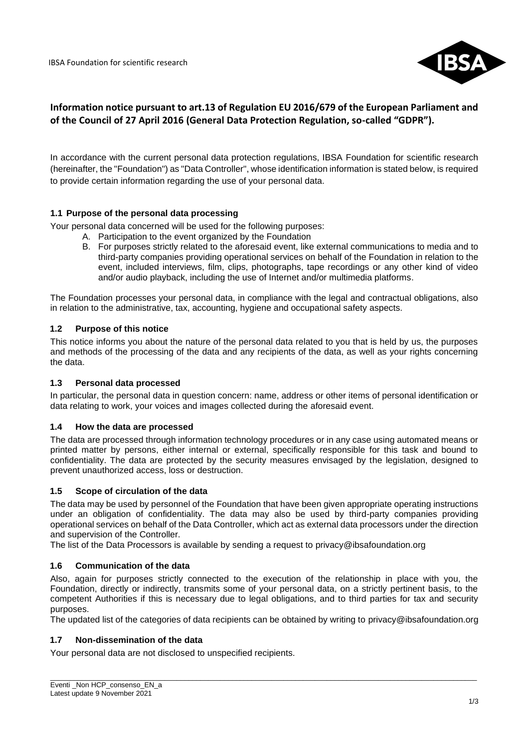

# **Information notice pursuant to art.13 of Regulation EU 2016/679 of the European Parliament and of the Council of 27 April 2016 (General Data Protection Regulation, so-called "GDPR").**

In accordance with the current personal data protection regulations, IBSA Foundation for scientific research (hereinafter, the "Foundation") as "Data Controller", whose identification information is stated below, is required to provide certain information regarding the use of your personal data.

### **1.1 Purpose of the personal data processing**

Your personal data concerned will be used for the following purposes:

- A. Participation to the event organized by the Foundation
- B. For purposes strictly related to the aforesaid event, like external communications to media and to third-party companies providing operational services on behalf of the Foundation in relation to the event, included interviews, film, clips, photographs, tape recordings or any other kind of video and/or audio playback, including the use of Internet and/or multimedia platforms.

The Foundation processes your personal data, in compliance with the legal and contractual obligations, also in relation to the administrative, tax, accounting, hygiene and occupational safety aspects.

### **1.2 Purpose of this notice**

This notice informs you about the nature of the personal data related to you that is held by us, the purposes and methods of the processing of the data and any recipients of the data, as well as your rights concerning the data.

### **1.3 Personal data processed**

In particular, the personal data in question concern: name, address or other items of personal identification or data relating to work, your voices and images collected during the aforesaid event.

### **1.4 How the data are processed**

The data are processed through information technology procedures or in any case using automated means or printed matter by persons, either internal or external, specifically responsible for this task and bound to confidentiality. The data are protected by the security measures envisaged by the legislation, designed to prevent unauthorized access, loss or destruction.

### **1.5 Scope of circulation of the data**

The data may be used by personnel of the Foundation that have been given appropriate operating instructions under an obligation of confidentiality. The data may also be used by third-party companies providing operational services on behalf of the Data Controller, which act as external data processors under the direction and supervision of the Controller.

The list of the Data Processors is available by sending a request to privacy@ibsafoundation.org

### **1.6 Communication of the data**

Also, again for purposes strictly connected to the execution of the relationship in place with you, the Foundation, directly or indirectly, transmits some of your personal data, on a strictly pertinent basis, to the competent Authorities if this is necessary due to legal obligations, and to third parties for tax and security purposes.

The updated list of the categories of data recipients can be obtained by writing to privacy@ibsafoundation.org

\_\_\_\_\_\_\_\_\_\_\_\_\_\_\_\_\_\_\_\_\_\_\_\_\_\_\_\_\_\_\_\_\_\_\_\_\_\_\_\_\_\_\_\_\_\_\_\_\_\_\_\_\_\_\_\_\_\_\_\_\_\_\_\_\_\_\_\_\_\_\_\_\_\_\_\_\_\_\_\_\_\_\_\_\_\_\_\_\_\_\_\_\_\_\_\_\_\_\_\_\_\_\_\_\_\_\_\_

### **1.7 Non-dissemination of the data**

Your personal data are not disclosed to unspecified recipients.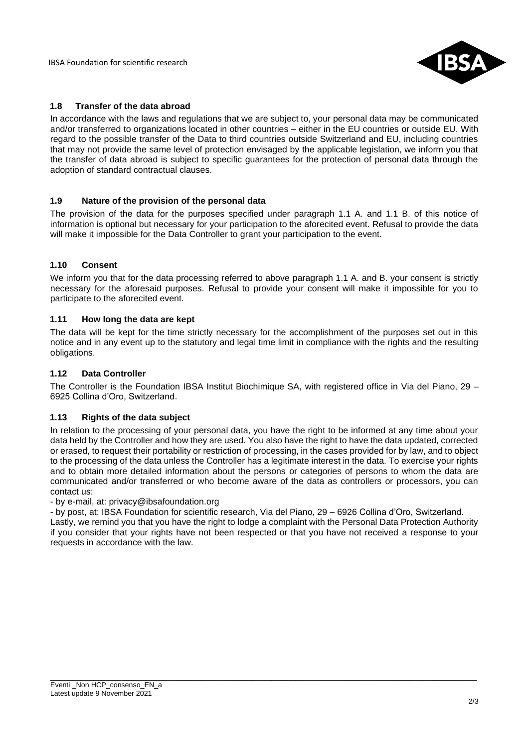IBSA Foundation for scientific research



### **1.8 Transfer of the data abroad**

In accordance with the laws and regulations that we are subject to, your personal data may be communicated and/or transferred to organizations located in other countries – either in the EU countries or outside EU. With regard to the possible transfer of the Data to third countries outside Switzerland and EU, including countries that may not provide the same level of protection envisaged by the applicable legislation, we inform you that the transfer of data abroad is subject to specific guarantees for the protection of personal data through the adoption of standard contractual clauses.

### **1.9 Nature of the provision of the personal data**

The provision of the data for the purposes specified under paragraph 1.1 A. and 1.1 B. of this notice of information is optional but necessary for your participation to the aforecited event. Refusal to provide the data will make it impossible for the Data Controller to grant your participation to the event.

### **1.10 Consent**

We inform you that for the data processing referred to above paragraph 1.1 A. and B. your consent is strictly necessary for the aforesaid purposes. Refusal to provide your consent will make it impossible for you to participate to the aforecited event.

### **1.11 How long the data are kept**

The data will be kept for the time strictly necessary for the accomplishment of the purposes set out in this notice and in any event up to the statutory and legal time limit in compliance with the rights and the resulting obligations.

### **1.12 Data Controller**

The Controller is the Foundation IBSA Institut Biochimique SA, with registered office in Via del Piano, 29 – 6925 Collina d'Oro, Switzerland.

### **1.13 Rights of the data subject**

In relation to the processing of your personal data, you have the right to be informed at any time about your data held by the Controller and how they are used. You also have the right to have the data updated, corrected or erased, to request their portability or restriction of processing, in the cases provided for by law, and to object to the processing of the data unless the Controller has a legitimate interest in the data. To exercise your rights and to obtain more detailed information about the persons or categories of persons to whom the data are communicated and/or transferred or who become aware of the data as controllers or processors, you can contact us:

- by e-mail, at: privacy@ibsafoundation.org

- by post, at: IBSA Foundation for scientific research, Via del Piano, 29 – 6926 Collina d'Oro, Switzerland. Lastly, we remind you that you have the right to lodge a complaint with the Personal Data Protection Authority if you consider that your rights have not been respected or that you have not received a response to your requests in accordance with the law.

\_\_\_\_\_\_\_\_\_\_\_\_\_\_\_\_\_\_\_\_\_\_\_\_\_\_\_\_\_\_\_\_\_\_\_\_\_\_\_\_\_\_\_\_\_\_\_\_\_\_\_\_\_\_\_\_\_\_\_\_\_\_\_\_\_\_\_\_\_\_\_\_\_\_\_\_\_\_\_\_\_\_\_\_\_\_\_\_\_\_\_\_\_\_\_\_\_\_\_\_\_\_\_\_\_\_\_\_